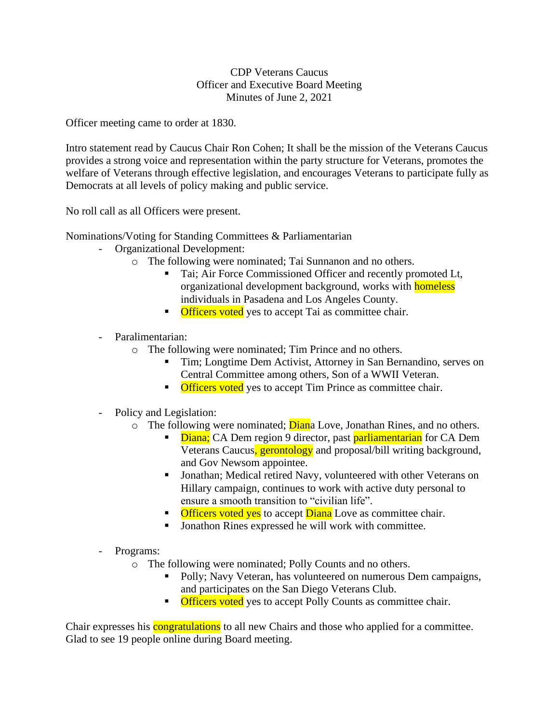# CDP Veterans Caucus Officer and Executive Board Meeting Minutes of June 2, 2021

Officer meeting came to order at 1830.

Intro statement read by Caucus Chair Ron Cohen; It shall be the mission of the Veterans Caucus provides a strong voice and representation within the party structure for Veterans, promotes the welfare of Veterans through effective legislation, and encourages Veterans to participate fully as Democrats at all levels of policy making and public service.

No roll call as all Officers were present.

Nominations/Voting for Standing Committees & Parliamentarian

- Organizational Development:
	- o The following were nominated; Tai Sunnanon and no others.
		- Tai; Air Force Commissioned Officer and recently promoted Lt, organizational development background, works with **homeless** individuals in Pasadena and Los Angeles County.
		- **Officers voted** yes to accept Tai as committee chair.
- Paralimentarian:
	- o The following were nominated; Tim Prince and no others.
		- Tim; Longtime Dem Activist, Attorney in San Bernandino, serves on Central Committee among others, Son of a WWII Veteran.
		- **Officers voted** yes to accept Tim Prince as committee chair.
- Policy and Legislation:
	- o The following were nominated; **Dian**a Love, Jonathan Rines, and no others.
		- **Example 1** Diana; CA Dem region 9 director, past parliamentarian for CA Dem Veterans Caucus, gerontology and proposal/bill writing background, and Gov Newsom appointee.
		- Jonathan; Medical retired Navy, volunteered with other Veterans on Hillary campaign, continues to work with active duty personal to ensure a smooth transition to "civilian life".
		- **Officers voted yes** to accept **Diana** Love as committee chair.
		- Jonathon Rines expressed he will work with committee.
- Programs:
	- o The following were nominated; Polly Counts and no others.
		- Polly; Navy Veteran, has volunteered on numerous Dem campaigns, and participates on the San Diego Veterans Club.
		- **Officers voted** yes to accept Polly Counts as committee chair.

Chair expresses his **congratulations** to all new Chairs and those who applied for a committee. Glad to see 19 people online during Board meeting.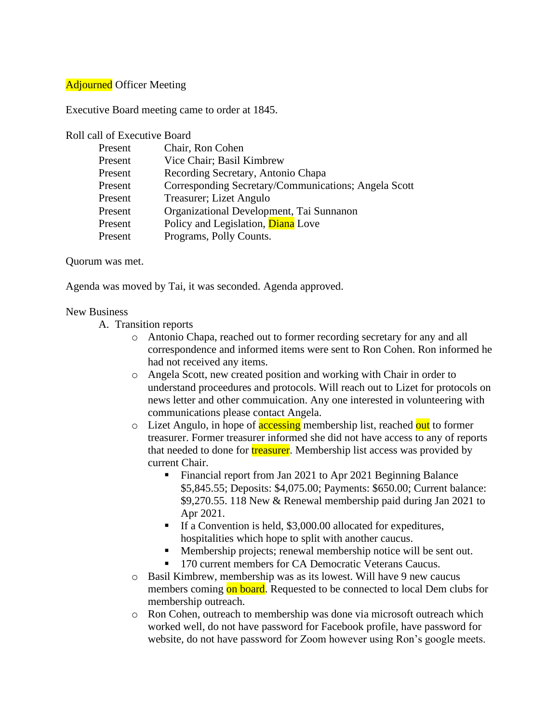# **Adjourned** Officer Meeting

Executive Board meeting came to order at 1845.

### Roll call of Executive Board

| Present | Chair, Ron Cohen                                     |
|---------|------------------------------------------------------|
|         |                                                      |
| Present | Vice Chair; Basil Kimbrew                            |
| Present | Recording Secretary, Antonio Chapa                   |
| Present | Corresponding Secretary/Communications; Angela Scott |
| Present | Treasurer; Lizet Angulo                              |
| Present | Organizational Development, Tai Sunnanon             |
| Present | Policy and Legislation, Diana Love                   |
| Present | Programs, Polly Counts.                              |

### Quorum was met.

Agenda was moved by Tai, it was seconded. Agenda approved.

#### New Business

- A. Transition reports
	- o Antonio Chapa, reached out to former recording secretary for any and all correspondence and informed items were sent to Ron Cohen. Ron informed he had not received any items.
	- o Angela Scott, new created position and working with Chair in order to understand proceedures and protocols. Will reach out to Lizet for protocols on news letter and other commuication. Any one interested in volunteering with communications please contact Angela.
	- o Lizet Angulo, in hope of **accessing** membership list, reached out to former treasurer. Former treasurer informed she did not have access to any of reports that needed to done for **treasurer**. Membership list access was provided by current Chair.
		- Financial report from Jan 2021 to Apr 2021 Beginning Balance \$5,845.55; Deposits: \$4,075.00; Payments: \$650.00; Current balance: \$9,270.55. 118 New & Renewal membership paid during Jan 2021 to Apr 2021.
		- If a Convention is held, \$3,000.00 allocated for expeditures, hospitalities which hope to split with another caucus.
		- Membership projects; renewal membership notice will be sent out.
		- 170 current members for CA Democratic Veterans Caucus.
	- o Basil Kimbrew, membership was as its lowest. Will have 9 new caucus members coming on board. Requested to be connected to local Dem clubs for membership outreach.
	- o Ron Cohen, outreach to membership was done via microsoft outreach which worked well, do not have password for Facebook profile, have password for website, do not have password for Zoom however using Ron's google meets.